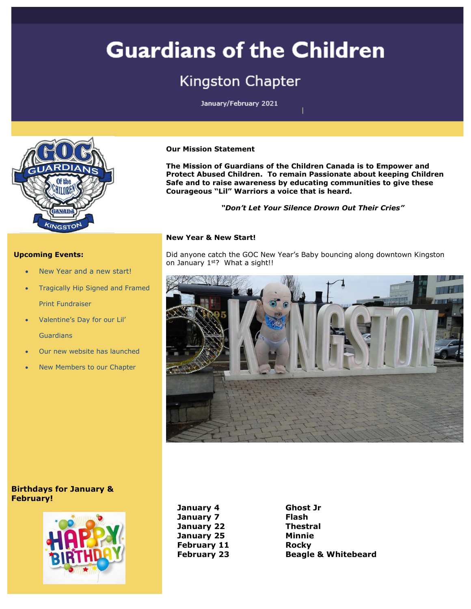# **Guardians of the Children**

## **Kingston Chapter**

January/February 2021



#### **Upcoming Events:**

- New Year and a new start!
- Tragically Hip Signed and Framed Print Fundraiser
- Valentine's Day for our Lil' **Guardians**
- Our new website has launched
- New Members to our Chapter

#### **Our Mission Statement**

**The Mission of Guardians of the Children Canada is to Empower and Protect Abused Children. To remain Passionate about keeping Children Safe and to raise awareness by educating communities to give these Courageous "Lil" Warriors a voice that is heard.**

*"Don't Let Your Silence Drown Out Their Cries"*

#### **New Year & New Start!**

Did anyone catch the GOC New Year's Baby bouncing along downtown Kingston on January 1<sup>st</sup>? What a sight!!



#### **Birthdays for January & February!**



**January 4 Ghost Jr January 7 Flash January 22 January 25 February 11 February 23**

**Thestral Minnie Rocky Beagle & Whitebeard**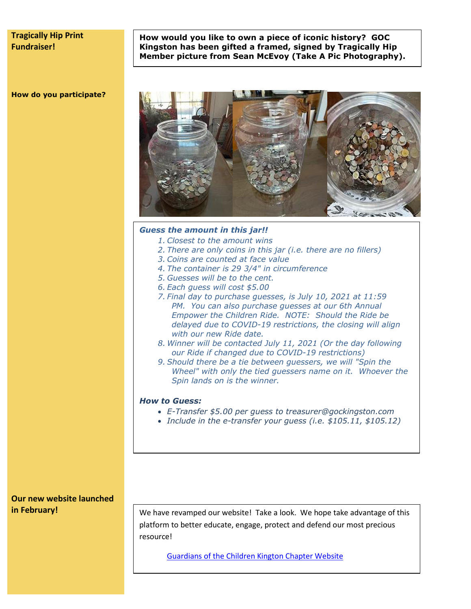#### **Tragically Hip Print Fundraiser!**

**How would you like to own a piece of iconic history? GOC Kingston has been gifted a framed, signed by Tragically Hip Member picture from Sean McEvoy (Take A Pic Photography).**

#### **How do you participate?**



#### *Guess the amount in this jar!!*

- *1. Closest to the amount wins*
- *2. There are only coins in this jar (i.e. there are no fillers)*
- *3. Coins are counted at face value*
- *4. The container is 29 3/4" in circumference*
- *5. Guesses will be to the cent.*
- *6. Each guess will cost \$5.00*
- *7. Final day to purchase guesses, is July 10, 2021 at 11:59 PM. You can also purchase guesses at our 6th Annual Empower the Children Ride. NOTE: Should the Ride be delayed due to COVID-19 restrictions, the closing will align with our new Ride date.*
- *8. Winner will be contacted July 11, 2021 (Or the day following our Ride if changed due to COVID-19 restrictions)*
- *9. Should there be a tie between guessers, we will "Spin the Wheel" with only the tied guessers name on it. Whoever the Spin lands on is the winner.*

#### *How to Guess:*

- *E-Transfer \$5.00 per guess to treasurer@gockingston.com*
- *Include in the e-transfer your guess (i.e. \$105.11, \$105.12)*

**Our new website launched in February!**

We have revamped our website! Take a look. We hope take advantage of this platform to better educate, engage, protect and defend our most precious resource!

[Guardians of the Children Kington Chapter Website](https://gockingston.com/)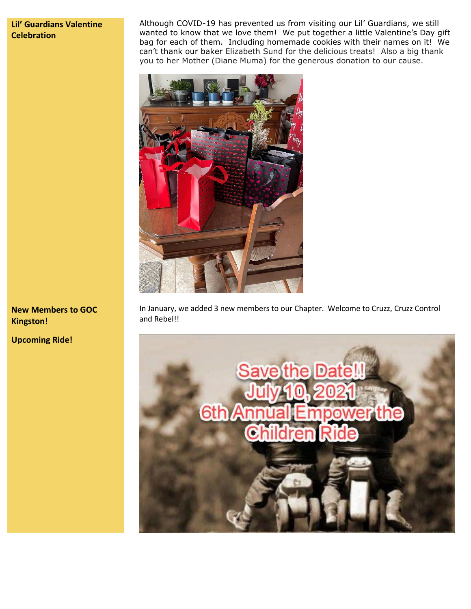### **Lil' Guardians Valentine Celebration**

Although COVID-19 has prevented us from visiting our Lil' Guardians, we still wanted to know that we love them! We put together a little Valentine's Day gift bag for each of them. Including homemade cookies with their names on it! We can't thank our baker Elizabeth Sund for the delicious treats! Also a big thank you to her Mother (Diane Muma) for the generous donation to our cause.



In January, we added 3 new members to our Chapter. Welcome to Cruzz, Cruzz Control and Rebel!!



**New Members to GOC Kingston!**

**Upcoming Ride!**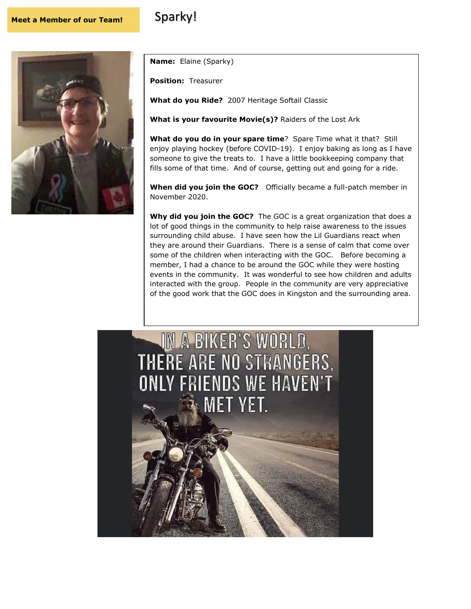### **Meet a Member of our Team!** Sparky!



**Name:** Elaine (Sparky)

**Position:** Treasurer

**What do you Ride?** 2007 Heritage Softail Classic

**What is your favourite Movie(s)?** Raiders of the Lost Ark

**What do you do in your spare time**? Spare Time what it that? Still enjoy playing hockey (before COVID-19). I enjoy baking as long as I have someone to give the treats to. I have a little bookkeeping company that fills some of that time. And of course, getting out and going for a ride.

**When did you join the GOC?** Officially became a full-patch member in November 2020.

**Why did you join the GOC?** The GOC is a great organization that does a lot of good things in the community to help raise awareness to the issues surrounding child abuse. I have seen how the Lil Guardians react when they are around their Guardians. There is a sense of calm that come over some of the children when interacting with the GOC. Before becoming a member, I had a chance to be around the GOC while they were hosting events in the community. It was wonderful to see how children and adults interacted with the group. People in the community are very appreciative of the good work that the GOC does in Kingston and the surrounding area.